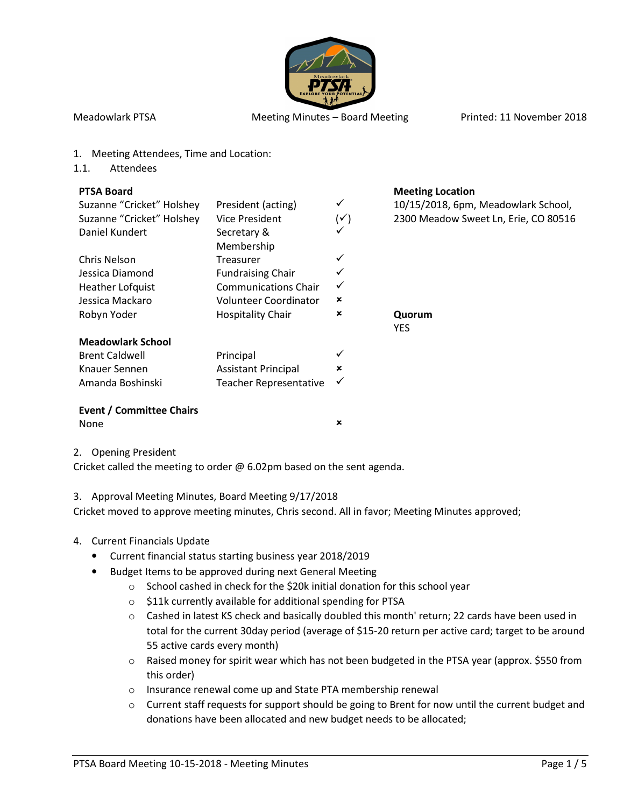

- 1. Meeting Attendees, Time and Location:
- 1.1. Attendees

#### **PTSA Board Meeting Location Meeting Location**

| Suzanne "Cricket" Holshey       | President (acting)            | ✓              | 10/15/2018, 6pm, Meadowlark School,  |
|---------------------------------|-------------------------------|----------------|--------------------------------------|
| Suzanne "Cricket" Holshey       | <b>Vice President</b>         | $(\checkmark)$ | 2300 Meadow Sweet Ln, Erie, CO 80516 |
| Daniel Kundert                  | Secretary &                   |                |                                      |
|                                 | Membership                    |                |                                      |
| Chris Nelson                    | Treasurer                     |                |                                      |
| Jessica Diamond                 | <b>Fundraising Chair</b>      |                |                                      |
| Heather Lofquist                | <b>Communications Chair</b>   | ✓              |                                      |
| Jessica Mackaro                 | Volunteer Coordinator         | ×              |                                      |
| Robyn Yoder                     | <b>Hospitality Chair</b>      | ×              | Quorum                               |
|                                 |                               |                | <b>YES</b>                           |
| <b>Meadowlark School</b>        |                               |                |                                      |
| <b>Brent Caldwell</b>           | Principal                     |                |                                      |
| Knauer Sennen                   | <b>Assistant Principal</b>    | ×              |                                      |
| Amanda Boshinski                | <b>Teacher Representative</b> | ✓              |                                      |
| <b>Fyent / Committee Chairs</b> |                               |                |                                      |

#### **Event / Committee Chairs** None **x**

| v<br>×<br>×<br>۰. |  |
|-------------------|--|
|-------------------|--|

#### 2. Opening President

Cricket called the meeting to order @ 6.02pm based on the sent agenda.

# 3. Approval Meeting Minutes, Board Meeting 9/17/2018

Cricket moved to approve meeting minutes, Chris second. All in favor; Meeting Minutes approved;

# 4. Current Financials Update

- Current financial status starting business year 2018/2019
- Budget Items to be approved during next General Meeting
	- o School cashed in check for the \$20k initial donation for this school year
	- o \$11k currently available for additional spending for PTSA
	- o Cashed in latest KS check and basically doubled this month' return; 22 cards have been used in total for the current 30day period (average of \$15-20 return per active card; target to be around 55 active cards every month)
	- $\circ$  Raised money for spirit wear which has not been budgeted in the PTSA year (approx. \$550 from this order)
	- o Insurance renewal come up and State PTA membership renewal
	- o Current staff requests for support should be going to Brent for now until the current budget and donations have been allocated and new budget needs to be allocated;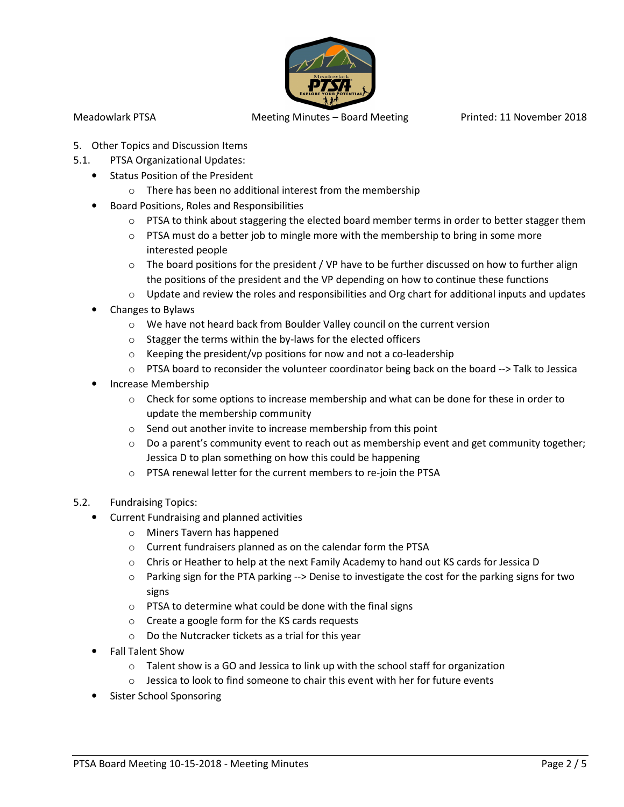

- 5. Other Topics and Discussion Items
- 5.1. PTSA Organizational Updates:
	- Status Position of the President
		- o There has been no additional interest from the membership
	- Board Positions, Roles and Responsibilities
		- $\circ$  PTSA to think about staggering the elected board member terms in order to better stagger them
		- $\circ$  PTSA must do a better job to mingle more with the membership to bring in some more interested people
		- $\circ$  The board positions for the president / VP have to be further discussed on how to further align the positions of the president and the VP depending on how to continue these functions
		- $\circ$  Update and review the roles and responsibilities and Org chart for additional inputs and updates
	- Changes to Bylaws
		- o We have not heard back from Boulder Valley council on the current version
		- o Stagger the terms within the by-laws for the elected officers
		- $\circ$  Keeping the president/vp positions for now and not a co-leadership
		- $\circ$  PTSA board to reconsider the volunteer coordinator being back on the board --> Talk to Jessica
	- Increase Membership
		- $\circ$  Check for some options to increase membership and what can be done for these in order to update the membership community
		- o Send out another invite to increase membership from this point
		- $\circ$  Do a parent's community event to reach out as membership event and get community together; Jessica D to plan something on how this could be happening
		- o PTSA renewal letter for the current members to re-join the PTSA
- 5.2. Fundraising Topics:
	- Current Fundraising and planned activities
		- o Miners Tavern has happened
		- o Current fundraisers planned as on the calendar form the PTSA
		- $\circ$  Chris or Heather to help at the next Family Academy to hand out KS cards for Jessica D
		- $\circ$  Parking sign for the PTA parking --> Denise to investigate the cost for the parking signs for two signs
		- o PTSA to determine what could be done with the final signs
		- o Create a google form for the KS cards requests
		- o Do the Nutcracker tickets as a trial for this year
		- Fall Talent Show
			- o Talent show is a GO and Jessica to link up with the school staff for organization
			- o Jessica to look to find someone to chair this event with her for future events
		- Sister School Sponsoring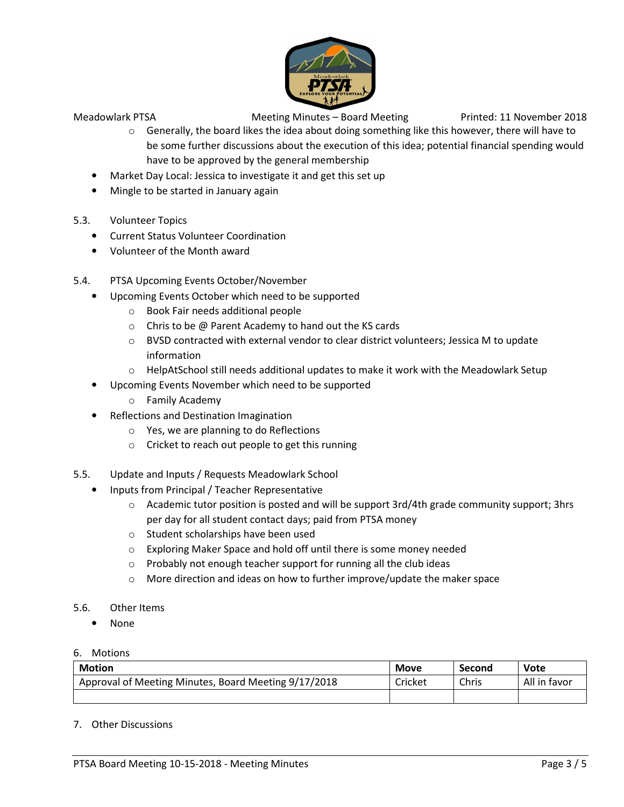

- $\circ$  Generally, the board likes the idea about doing something like this however, there will have to be some further discussions about the execution of this idea; potential financial spending would have to be approved by the general membership
- Market Day Local: Jessica to investigate it and get this set up
- Mingle to be started in January again
- 5.3. Volunteer Topics
	- Current Status Volunteer Coordination
	- Volunteer of the Month award
- 5.4. PTSA Upcoming Events October/November
	- Upcoming Events October which need to be supported
		- o Book Fair needs additional people
		- o Chris to be @ Parent Academy to hand out the KS cards
		- $\circ$  BVSD contracted with external vendor to clear district volunteers; Jessica M to update information
		- $\circ$  HelpAtSchool still needs additional updates to make it work with the Meadowlark Setup
	- Upcoming Events November which need to be supported
		- o Family Academy
	- Reflections and Destination Imagination
		- o Yes, we are planning to do Reflections
		- o Cricket to reach out people to get this running
- 5.5. Update and Inputs / Requests Meadowlark School
	- Inputs from Principal / Teacher Representative
		- o Academic tutor position is posted and will be support 3rd/4th grade community support; 3hrs per day for all student contact days; paid from PTSA money
		- o Student scholarships have been used
		- o Exploring Maker Space and hold off until there is some money needed
		- o Probably not enough teacher support for running all the club ideas
		- $\circ$  More direction and ideas on how to further improve/update the maker space
- 5.6. Other Items
	- None
- 6. Motions

| <b>Motion</b>                                        | <b>Move</b> | Second | Vote         |
|------------------------------------------------------|-------------|--------|--------------|
| Approval of Meeting Minutes, Board Meeting 9/17/2018 | Cricket     | Chris  | All in favor |
|                                                      |             |        |              |

# 7. Other Discussions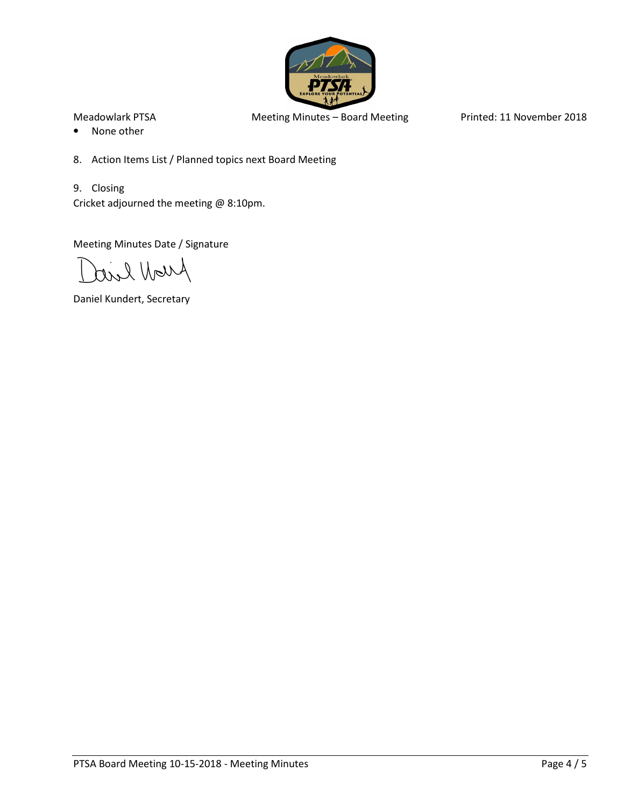

- None other
- 8. Action Items List / Planned topics next Board Meeting
- 9. Closing Cricket adjourned the meeting @ 8:10pm.

Meeting Minutes Date / Signature

Arroll live

Daniel Kundert, Secretary